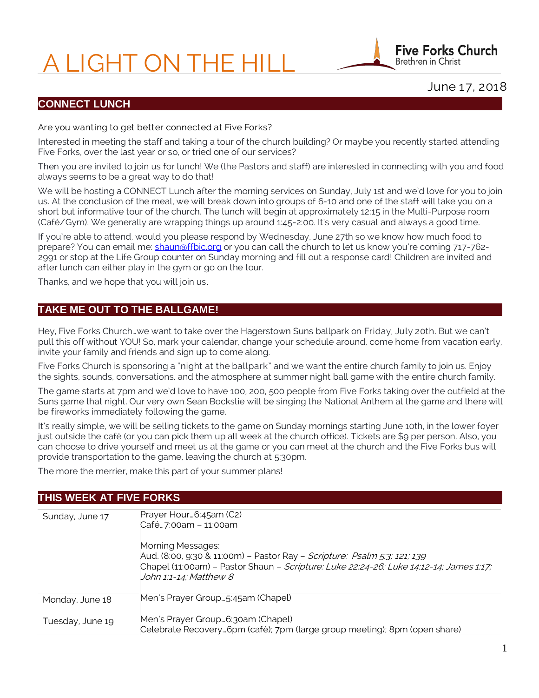# A LIGHT ON THE HILL



# June 17, 2018

# **CONNECT LUNCH**

#### Are you wanting to get better connected at Five Forks?

Interested in meeting the staff and taking a tour of the church building? Or maybe you recently started attending Five Forks, over the last year or so, or tried one of our services?

Then you are invited to join us for lunch! We (the Pastors and staff) are interested in connecting with you and food always seems to be a great way to do that!

We will be hosting a CONNECT Lunch after the morning services on Sunday, July 1st and we'd love for you to join us. At the conclusion of the meal, we will break down into groups of 6-10 and one of the staff will take you on a short but informative tour of the church. The lunch will begin at approximately 12:15 in the Multi-Purpose room (Café/Gym). We generally are wrapping things up around 1:45-2:00. It's very casual and always a good time.

If you're able to attend, would you please respond by Wednesday, June 27th so we know how much food to prepare? You can email me: [shaun@ffbic.org](mailto:shaun@ffbic.org) or you can call the church to let us know you're coming 717-762-2991 or stop at the Life Group counter on Sunday morning and fill out a response card! Children are invited and after lunch can either play in the gym or go on the tour.

Thanks, and we hope that you will join us.

## **TAKE ME OUT TO THE BALLGAME!**

Hey, Five Forks Church…we want to take over the Hagerstown Suns ballpark on Friday, July 20th. But we can't pull this off without YOU! So, mark your calendar, change your schedule around, come home from vacation early, invite your family and friends and sign up to come along.

Five Forks Church is sponsoring a "night at the ballpark" and we want the entire church family to join us. Enjoy the sights, sounds, conversations, and the atmosphere at summer night ball game with the entire church family.

The game starts at 7pm and we'd love to have 100, 200, 500 people from Five Forks taking over the outfield at the Suns game that night. Our very own Sean Bockstie will be singing the National Anthem at the game and there will be fireworks immediately following the game.

It's really simple, we will be selling tickets to the game on Sunday mornings starting June 10th, in the lower foyer just outside the café (or you can pick them up all week at the church office). Tickets are \$9 per person. Also, you can choose to drive yourself and meet us at the game or you can meet at the church and the Five Forks bus will provide transportation to the game, leaving the church at 5:30pm.

The more the merrier, make this part of your summer plans!

## **THIS WEEK AT FIVE FORKS**

| Sunday, June 17  | Prayer Hour6:45am (C2)<br>Café7:00am - 11:00am<br>Morning Messages:                                                                                                                                 |
|------------------|-----------------------------------------------------------------------------------------------------------------------------------------------------------------------------------------------------|
|                  | Aud. (8:00, 9:30 & 11:00m) - Pastor Ray - <i>Scripture: Psalm 5:3; 121; 139</i><br>Chapel (11:00am) - Pastor Shaun - Scripture: Luke 22:24-26; Luke 14:12-14; James 1:17;<br>John 1:1-14; Matthew 8 |
| Monday, June 18  | Men's Prayer Group5:45am (Chapel)                                                                                                                                                                   |
| Tuesday, June 19 | Men's Prayer Group6:30am (Chapel)<br>Celebrate Recovery6pm (café); 7pm (large group meeting); 8pm (open share)                                                                                      |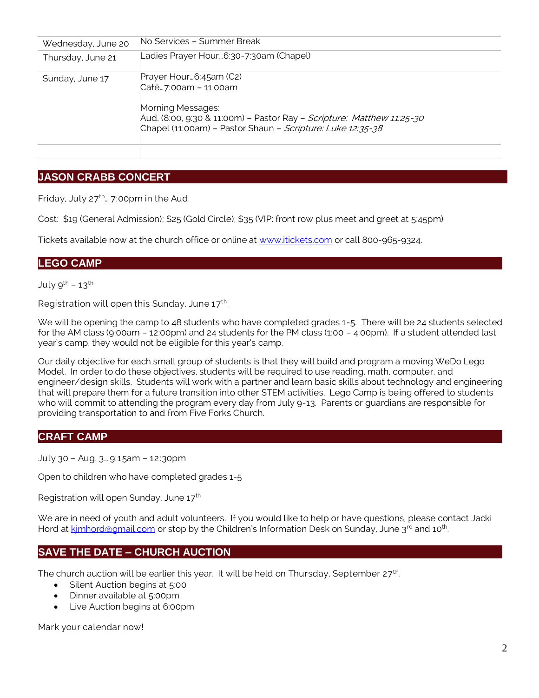| Wednesday, June 20 | No Services - Summer Break                                                                                                                                                                                 |
|--------------------|------------------------------------------------------------------------------------------------------------------------------------------------------------------------------------------------------------|
| Thursday, June 21  | Ladies Prayer Hour…6:30-7:30am (Chapel)                                                                                                                                                                    |
| Sunday, June 17    | Prayer Hour6:45am (C2)<br>Café7:00am - 11:00am<br>Morning Messages:<br>Aud. (8:00, 9:30 & 11:00m) - Pastor Ray - Scripture: Matthew 11:25-30<br>Chapel (11:00am) - Pastor Shaun - Scripture: Luke 12:35-38 |
|                    |                                                                                                                                                                                                            |

# **JASON CRABB CONCERT**

Friday, July  $27^{th}$ ... 7:00pm in the Aud.

Cost: \$19 (General Admission); \$25 (Gold Circle); \$35 (VIP: front row plus meet and greet at 5:45pm)

Tickets available now at the church office or online at [www.itickets.com](http://www.itickets.com/) or call 800-965-9324.

## **LEGO CAMP**

July  $9^{th}$  – 13<sup>th</sup>

Registration will open this Sunday, June  $17<sup>th</sup>$ . .

We will be opening the camp to 48 students who have completed grades 1-5. There will be 24 students selected for the AM class (9:00am – 12:00pm) and 24 students for the PM class (1:00 – 4:00pm). If a student attended last year's camp, they would not be eligible for this year's camp.

Our daily objective for each small group of students is that they will build and program a moving WeDo Lego Model. In order to do these objectives, students will be required to use reading, math, computer, and engineer/design skills. Students will work with a partner and learn basic skills about technology and engineering that will prepare them for a future transition into other STEM activities. Lego Camp is being offered to students who will commit to attending the program every day from July 9-13. Parents or guardians are responsible for providing transportation to and from Five Forks Church.

#### **CRAFT CAMP**

July 30 – Aug. 3… 9:15am – 12:30pm

Open to children who have completed grades 1-5

Registration will open Sunday, June 17<sup>th</sup>

We are in need of youth and adult volunteers. If you would like to help or have questions, please contact Jacki Hord at kimhord@gmail.com or stop by the Children's Information Desk on Sunday, June 3<sup>rd</sup> and 10<sup>th</sup>. .

## **SAVE THE DATE – CHURCH AUCTION**

The church auction will be earlier this year. It will be held on Thursday, September 27<sup>th</sup>.

- Silent Auction begins at 5:00
- Dinner available at 5:00pm
- Live Auction begins at 6:00pm

Mark your calendar now!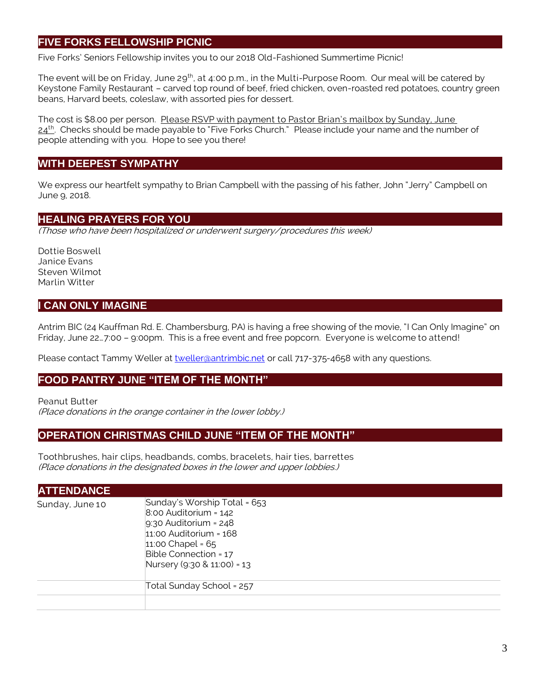# **FIVE FORKS FELLOWSHIP PICNIC**

Five Forks' Seniors Fellowship invites you to our 2018 Old-Fashioned Summertime Picnic!

The event will be on Friday, June 29<sup>th</sup>, at 4:00 p.m., in the Multi-Purpose Room. Our meal will be catered by Keystone Family Restaurant – carved top round of beef, fried chicken, oven-roasted red potatoes, country green beans, Harvard beets, coleslaw, with assorted pies for dessert.

The cost is \$8.00 per person. Please RSVP with payment to Pastor Brian's mailbox by Sunday, June 24<sup>th</sup>. Checks should be made payable to "Five Forks Church." Please include your name and the number of people attending with you. Hope to see you there!

## **WITH DEEPEST SYMPATHY**

We express our heartfelt sympathy to Brian Campbell with the passing of his father, John "Jerry" Campbell on June 9, 2018.

## **HEALING PRAYERS FOR YOU**

(Those who have been hospitalized or underwent surgery/procedures this week)

Dottie Boswell Janice Evans Steven Wilmot Marlin Witter

## **I CAN ONLY IMAGINE**

Antrim BIC (24 Kauffman Rd. E. Chambersburg, PA) is having a free showing of the movie, "I Can Only Imagine" on Friday, June 22…7:00 – 9:00pm. This is a free event and free popcorn. Everyone is welcome to attend!

Please contact Tammy Weller at [tweller@antrimbic.net](mailto:tweller@antrimbic.net) or call 717-375-4658 with any questions.

#### **FOOD PANTRY JUNE "ITEM OF THE MONTH"**

Peanut Butter

(Place donations in the orange container in the lower lobby.)

#### **OPERATION CHRISTMAS CHILD JUNE "ITEM OF THE MONTH"**

Toothbrushes, hair clips, headbands, combs, bracelets, hair ties, barrettes (Place donations in the designated boxes in the lower and upper lobbies.)

| <b>ATTENDANCE</b> |                                                                                                                                                                                                   |
|-------------------|---------------------------------------------------------------------------------------------------------------------------------------------------------------------------------------------------|
| Sunday, June 10   | Sunday's Worship Total = 653<br>$8:00$ Auditorium = $142$<br>$9:30$ Auditorium = 248<br>$11:00$ Auditorium = $168$<br>11:00 Chapel = $65$<br>Bible Connection = 17<br>Nursery (9:30 & 11:00) = 13 |
|                   | Total Sunday School = 257                                                                                                                                                                         |